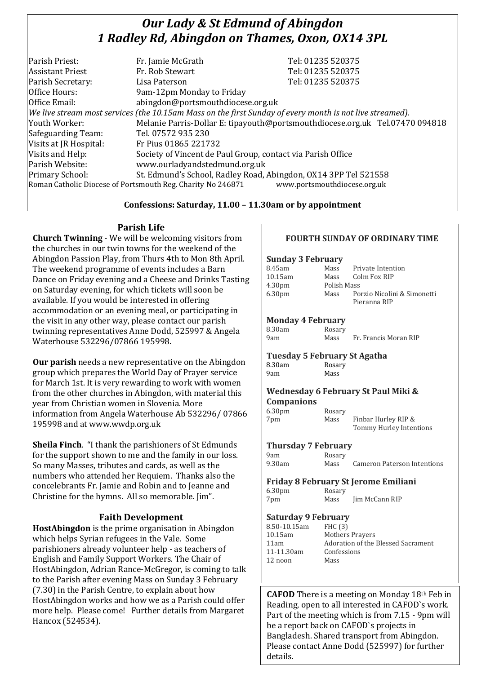# *Our Lady & St Edmund of Abingdon 1 Radley Rd, Abingdon on Thames, Oxon, OX14 3PL*

| Parish Priest:                                                                                           | Fr. Jamie McGrath                                                            | Tel: 01235 520375 |  |
|----------------------------------------------------------------------------------------------------------|------------------------------------------------------------------------------|-------------------|--|
| <b>Assistant Priest</b>                                                                                  | Fr. Rob Stewart                                                              | Tel: 01235 520375 |  |
| Parish Secretary:                                                                                        | Lisa Paterson                                                                | Tel: 01235 520375 |  |
| Office Hours:                                                                                            | 9am-12pm Monday to Friday                                                    |                   |  |
| Office Email:                                                                                            | abingdon@portsmouthdiocese.org.uk                                            |                   |  |
| We live stream most services (the 10.15am Mass on the first Sunday of every month is not live streamed). |                                                                              |                   |  |
| Youth Worker:                                                                                            | Melanie Parris-Dollar E: tipayouth@portsmouthdiocese.org.uk Tel.07470 094818 |                   |  |
| Safeguarding Team:                                                                                       | Tel. 07572 935 230                                                           |                   |  |
| Visits at JR Hospital:                                                                                   | Fr Pius 01865 221732                                                         |                   |  |
| Visits and Help:                                                                                         | Society of Vincent de Paul Group, contact via Parish Office                  |                   |  |
| Parish Website:                                                                                          | www.ourladyandstedmund.org.uk                                                |                   |  |
| Primary School:                                                                                          | St. Edmund's School, Radley Road, Abingdon, OX14 3PP Tel 521558              |                   |  |
| Roman Catholic Diocese of Portsmouth Reg. Charity No 246871<br>www.portsmouthdiocese.org.uk              |                                                                              |                   |  |
|                                                                                                          |                                                                              |                   |  |

#### **Confessions: Saturday, 11.00 – 11.30am or by appointment**

## **Parish Life**

**Church Twinning** - We will be welcoming visitors from the churches in our twin towns for the weekend of the Abingdon Passion Play, from Thurs 4th to Mon 8th April. The weekend programme of events includes a Barn Dance on Friday evening and a Cheese and Drinks Tasting on Saturday evening, for which tickets will soon be available. If you would be interested in offering accommodation or an evening meal, or participating in the visit in any other way, please contact our parish twinning representatives Anne Dodd, 525997 & Angela Waterhouse 532296/07866 195998.

**Our parish** needs a new representative on the Abingdon group which prepares the World Day of Prayer service for March 1st. It is very rewarding to work with women from the other churches in Abingdon, with material this year from Christian women in Slovenia. More information from Angela Waterhouse Ab 532296/ 07866 195998 and at www.wwdp.org.uk

**Sheila Finch**. "I thank the parishioners of St Edmunds for the support shown to me and the family in our loss. So many Masses, tributes and cards, as well as the numbers who attended her Requiem. Thanks also the concelebrants Fr. Jamie and Robin and to Jeanne and Christine for the hymns. All so memorable. Jim".

## **Faith Development**

**HostAbingdon** is the prime organisation in Abingdon which helps Syrian refugees in the Vale. Some parishioners already volunteer help - as teachers of English and Family Support Workers. The Chair of HostAbingdon, Adrian Rance-McGregor, is coming to talk to the Parish after evening Mass on Sunday 3 February (7.30) in the Parish Centre, to explain about how HostAbingdon works and how we as a Parish could offer more help. Please come! Further details from Margaret Hancox (524534).

## **FOURTH SUNDAY OF ORDINARY TIME**

## **Sunday 3 February** 8.45am Mass Private Intention 10.15am Mass Colm Fox RIP 4.30pm Polish Mass 6.30pm Mass Porzio Nicolini & Simonetti Pieranna RIP **Monday 4 February** 8.30am Rosary 9am Mass Fr. Francis Moran RIP **Tuesday 5 February St Agatha** Rosary 9am Mass **Wednesday 6 February St Paul Miki & Companions** 6.30pm Rosary 7pm Mass Finbar Hurley RIP & Tommy Hurley Intentions **Thursday 7 February** 9am Rosary 9.30am Mass Cameron Paterson Intentions **Friday 8 February St Jerome Emiliani** 6.30pm Rosary 7pm Mass Jim McCann RIP **Saturday 9 February**  FHC (3)

| 8.50-10.15am |  |
|--------------|--|
| 10.15am      |  |
| 11 am        |  |
| 11-11.30am   |  |
| 12 noon      |  |
|              |  |

**Mothers Prayers** Adoration of the Blessed Sacrament Confessions Mass

**CAFOD** There is a meeting on Monday 18th Feb in Reading, open to all interested in CAFOD`s work. Part of the meeting which is from 7.15 - 9pm will be a report back on CAFOD`s projects in Bangladesh. Shared transport from Abingdon. Please contact Anne Dodd (525997) for further details.